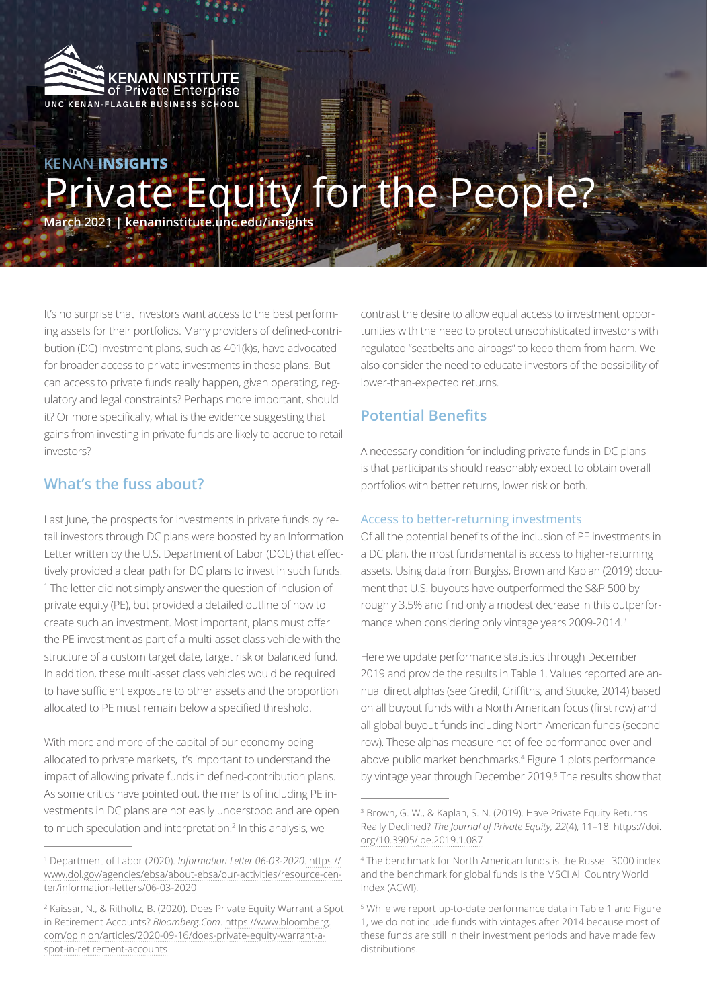

# **KENAN INSIGHTS** Private Equity for the People?

**March 2021 | kenaninstitute.unc.edu/insights**

It's no surprise that investors want access to the best performing assets for their portfolios. Many providers of defined-contribution (DC) investment plans, such as 401(k)s, have advocated for broader access to private investments in those plans. But can access to private funds really happen, given operating, regulatory and legal constraints? Perhaps more important, should it? Or more specifically, what is the evidence suggesting that gains from investing in private funds are likely to accrue to retail investors?

## **What's the fuss about?**

Last June, the prospects for investments in private funds by retail investors through DC plans were boosted by an Information Letter written by the U.S. Department of Labor (DOL) that effectively provided a clear path for DC plans to invest in such funds. 1 The letter did not simply answer the question of inclusion of private equity (PE), but provided a detailed outline of how to create such an investment. Most important, plans must offer the PE investment as part of a multi-asset class vehicle with the structure of a custom target date, target risk or balanced fund. In addition, these multi-asset class vehicles would be required to have sufficient exposure to other assets and the proportion allocated to PE must remain below a specified threshold.

With more and more of the capital of our economy being allocated to private markets, it's important to understand the impact of allowing private funds in defined-contribution plans. As some critics have pointed out, the merits of including PE investments in DC plans are not easily understood and are open to much speculation and interpretation.<sup>2</sup> In this analysis, we

contrast the desire to allow equal access to investment opportunities with the need to protect unsophisticated investors with regulated "seatbelts and airbags" to keep them from harm. We also consider the need to educate investors of the possibility of lower-than-expected returns.

## **Potential Benefits**

A necessary condition for including private funds in DC plans is that participants should reasonably expect to obtain overall portfolios with better returns, lower risk or both.

#### Access to better-returning investments

Of all the potential benefits of the inclusion of PE investments in a DC plan, the most fundamental is access to higher-returning assets. Using data from Burgiss, Brown and Kaplan (2019) document that U.S. buyouts have outperformed the S&P 500 by roughly 3.5% and find only a modest decrease in this outperformance when considering only vintage years 2009-2014.3

Here we update performance statistics through December 2019 and provide the results in Table 1. Values reported are annual direct alphas (see Gredil, Griffiths, and Stucke, 2014) based on all buyout funds with a North American focus (first row) and all global buyout funds including North American funds (second row). These alphas measure net-of-fee performance over and above public market benchmarks.4 Figure 1 plots performance by vintage year through December 2019.<sup>5</sup> The results show that

<sup>1</sup> Department of Labor (2020). *Information Letter 06-03-2020*. [https://](https://www.dol.gov/agencies/ebsa/about-ebsa/our-activities/resource-center/information-letters/06-03-2020) [www.dol.gov/agencies/ebsa/about-ebsa/our-activities/resource-cen](https://www.dol.gov/agencies/ebsa/about-ebsa/our-activities/resource-center/information-letters/06-03-2020)[ter/information-letters/06-03-2020](https://www.dol.gov/agencies/ebsa/about-ebsa/our-activities/resource-center/information-letters/06-03-2020)

<sup>2</sup> Kaissar, N., & Ritholtz, B. (2020). Does Private Equity Warrant a Spot in Retirement Accounts? *Bloomberg.Com*. [https://www.bloomberg.](https://www.bloomberg.com/opinion/articles/2020-09-16/does-private-equity-warrant-a-spot-in-retirement-accounts) [com/opinion/articles/2020-09-16/does-private-equity-warrant-a](https://www.bloomberg.com/opinion/articles/2020-09-16/does-private-equity-warrant-a-spot-in-retirement-accounts)[spot-in-retirement-accounts](https://www.bloomberg.com/opinion/articles/2020-09-16/does-private-equity-warrant-a-spot-in-retirement-accounts)

<sup>3</sup> Brown, G. W., & Kaplan, S. N. (2019). Have Private Equity Returns Really Declined? *The Journal of Private Equity, 22*(4), 11–18. [https://doi.](https://doi.org/10.3905/jpe.2019.1.087) [org/10.3905/jpe.2019.1.087](https://doi.org/10.3905/jpe.2019.1.087)

<sup>4</sup> The benchmark for North American funds is the Russell 3000 index and the benchmark for global funds is the MSCI All Country World Index (ACWI).

<sup>5</sup> While we report up-to-date performance data in Table 1 and Figure 1, we do not include funds with vintages after 2014 because most of these funds are still in their investment periods and have made few distributions.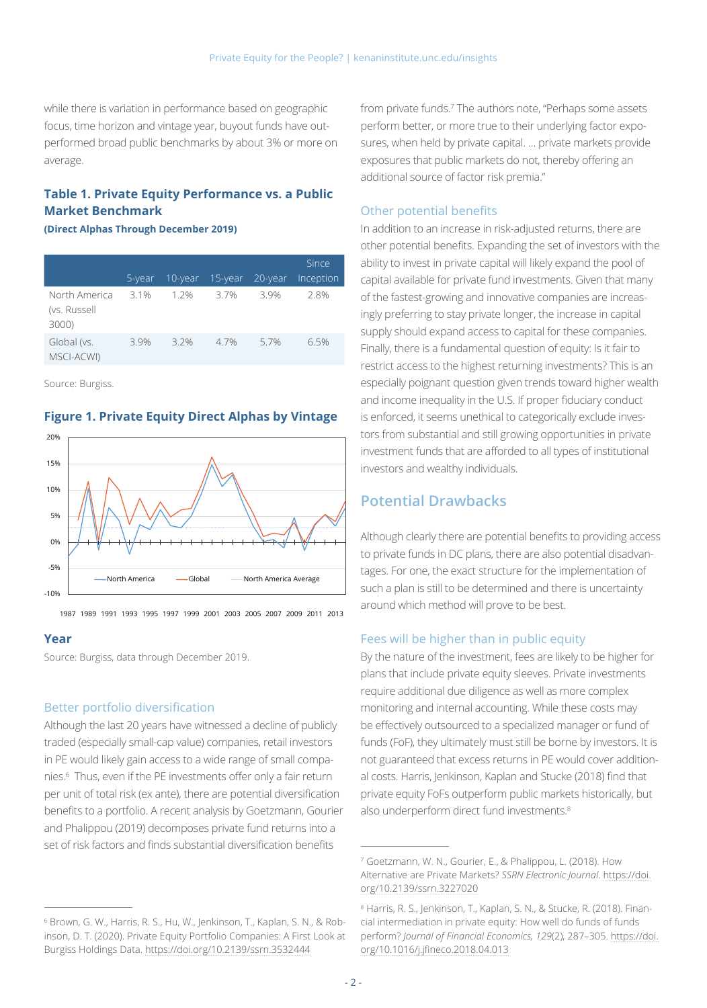while there is variation in performance based on geographic focus, time horizon and vintage year, buyout funds have outperformed broad public benchmarks by about 3% or more on average.

#### **Table 1. Private Equity Performance vs. a Public Market Benchmark**

#### **(Direct Alphas Through December 2019)**

|                                        | 5-year | $10 - year$ | 15-year | 20-year | Since<br>Inception |
|----------------------------------------|--------|-------------|---------|---------|--------------------|
| North America<br>(vs. Russell<br>3000) | 3.1%   | 1.2%        | 3.7%    | 39%     | 2.8%               |
| Global (vs.<br>MSCI-ACWI)              | 3.9%   | 3.2%        | 4.7%    | 5.7%    | 6.5%               |

Source: Burgiss.

## -10% -5% 0% 5% 10% 15% 20% North America **Constant America** Average

#### **Figure 1. Private Equity Direct Alphas by Vintage**

1987 1989 1991 1993 1995 1997 1999 2001 2003 2005 2007 2009 2011 2013

#### **Year**

Source: Burgiss, data through December 2019.

#### Better portfolio diversification

Although the last 20 years have witnessed a decline of publicly traded (especially small-cap value) companies, retail investors in PE would likely gain access to a wide range of small companies.6 Thus, even if the PE investments offer only a fair return per unit of total risk (ex ante), there are potential diversification benefits to a portfolio. A recent analysis by Goetzmann, Gourier and Phalippou (2019) decomposes private fund returns into a set of risk factors and finds substantial diversification benefits

from private funds.7 The authors note, "Perhaps some assets perform better, or more true to their underlying factor exposures, when held by private capital. … private markets provide exposures that public markets do not, thereby offering an additional source of factor risk premia."

#### Other potential benefits

In addition to an increase in risk-adjusted returns, there are other potential benefits. Expanding the set of investors with the ability to invest in private capital will likely expand the pool of capital available for private fund investments. Given that many of the fastest-growing and innovative companies are increasingly preferring to stay private longer, the increase in capital supply should expand access to capital for these companies. Finally, there is a fundamental question of equity: Is it fair to restrict access to the highest returning investments? This is an especially poignant question given trends toward higher wealth and income inequality in the U.S. If proper fiduciary conduct is enforced, it seems unethical to categorically exclude investors from substantial and still growing opportunities in private investment funds that are afforded to all types of institutional investors and wealthy individuals.

## **Potential Drawbacks**

Although clearly there are potential benefits to providing access to private funds in DC plans, there are also potential disadvantages. For one, the exact structure for the implementation of such a plan is still to be determined and there is uncertainty around which method will prove to be best.

#### Fees will be higher than in public equity

By the nature of the investment, fees are likely to be higher for plans that include private equity sleeves. Private investments require additional due diligence as well as more complex monitoring and internal accounting. While these costs may be effectively outsourced to a specialized manager or fund of funds (FoF), they ultimately must still be borne by investors. It is not guaranteed that excess returns in PE would cover additional costs. Harris, Jenkinson, Kaplan and Stucke (2018) find that private equity FoFs outperform public markets historically, but also underperform direct fund investments.<sup>8</sup>

<sup>6</sup> Brown, G. W., Harris, R. S., Hu, W., Jenkinson, T., Kaplan, S. N., & Robinson, D. T. (2020). Private Equity Portfolio Companies: A First Look at Burgiss Holdings Data. <https://doi.org/10.2139/ssrn.3532444>

<sup>7</sup> Goetzmann, W. N., Gourier, E., & Phalippou, L. (2018). How Alternative are Private Markets? *SSRN Electronic Journal*. [https://doi.](https://doi.org/10.2139/ssrn.3227020) [org/10.2139/ssrn.3227020](https://doi.org/10.2139/ssrn.3227020)

<sup>8</sup> Harris, R. S., Jenkinson, T., Kaplan, S. N., & Stucke, R. (2018). Financial intermediation in private equity: How well do funds of funds perform? *Journal of Financial Economics, 129*(2), 287–305. [https://doi.](https://doi.org/10.1016/j.jfineco.2018.04.013) [org/10.1016/j.jfineco.2018.04.013](https://doi.org/10.1016/j.jfineco.2018.04.013)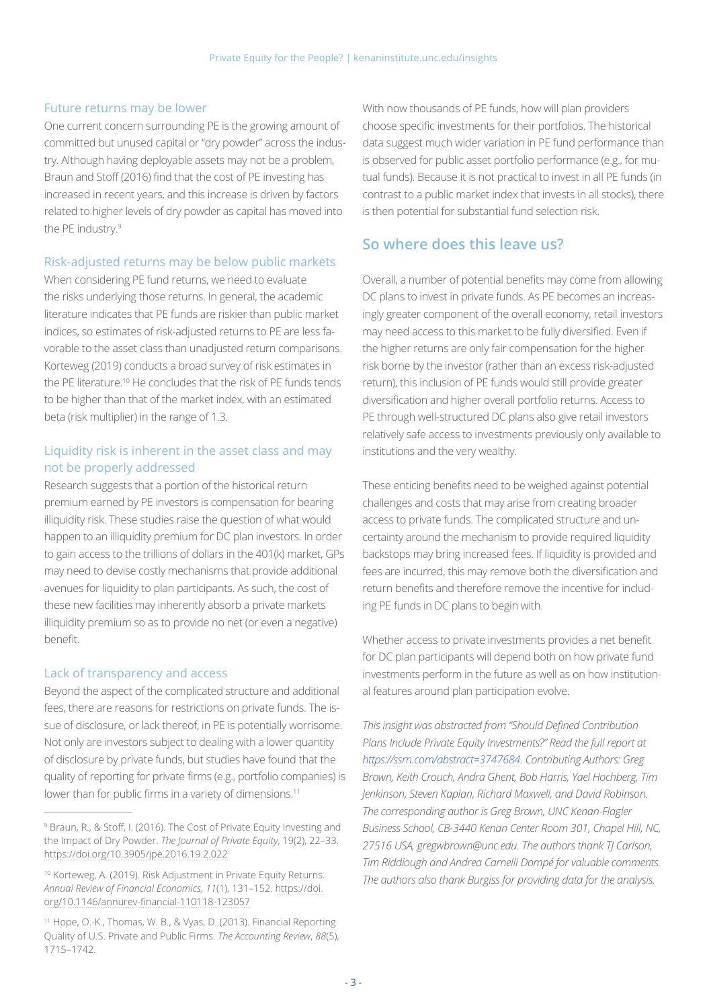#### Future returns may be lower

One current concern surrounding PE is the growing amount of committed but unused capital or "dry powder" across the industry. Although having deployable assets may not be a problem, Braun and Stoff (2016) find that the cost of PE investing has increased in recent years, and this increase is driven by factors related to higher levels of dry powder as capital has moved into the PE industry.9

#### Risk-adjusted returns may be below public markets

When considering PE fund returns, we need to evaluate the risks underlying those returns. In general, the academic literature indicates that PE funds are riskier than public market indices, so estimates of risk-adjusted returns to PE are less favorable to the asset class than unadjusted return comparisons. Korteweg (2019) conducts a broad survey of risk estimates in the PE literature.10 He concludes that the risk of PE funds tends to be higher than that of the market index, with an estimated beta (risk multiplier) in the range of 1.3.

#### Liquidity risk is inherent in the asset class and may not be properly addressed

Research suggests that a portion of the historical return premium earned by PE investors is compensation for bearing illiquidity risk. These studies raise the question of what would happen to an illiquidity premium for DC plan investors. In order to gain access to the trillions of dollars in the 401(k) market, GPs may need to devise costly mechanisms that provide additional avenues for liquidity to plan participants. As such, the cost of these new facilities may inherently absorb a private markets illiquidity premium so as to provide no net (or even a negative) benefit.

#### Lack of transparency and access

Beyond the aspect of the complicated structure and additional fees, there are reasons for restrictions on private funds. The issue of disclosure, or lack thereof, in PE is potentially worrisome. Not only are investors subject to dealing with a lower quantity of disclosure by private funds, but studies have found that the quality of reporting for private firms (e.g., portfolio companies) is lower than for public firms in a variety of dimensions.<sup>11</sup>

With now thousands of PE funds, how will plan providers choose specific investments for their portfolios. The historical data suggest much wider variation in PE fund performance than is observed for public asset portfolio performance (e.g., for mutual funds). Because it is not practical to invest in all PE funds (in contrast to a public market index that invests in all stocks), there is then potential for substantial fund selection risk.

## **So where does this leave us?**

Overall, a number of potential benefits may come from allowing DC plans to invest in private funds. As PE becomes an increasingly greater component of the overall economy, retail investors may need access to this market to be fully diversified. Even if the higher returns are only fair compensation for the higher risk borne by the investor (rather than an excess risk-adjusted return), this inclusion of PE funds would still provide greater diversification and higher overall portfolio returns. Access to PE through well-structured DC plans also give retail investors relatively safe access to investments previously only available to institutions and the very wealthy.

These enticing benefits need to be weighed against potential challenges and costs that may arise from creating broader access to private funds. The complicated structure and uncertainty around the mechanism to provide required liquidity backstops may bring increased fees. If liquidity is provided and fees are incurred, this may remove both the diversification and return benefits and therefore remove the incentive for including PE funds in DC plans to begin with.

Whether access to private investments provides a net benefit for DC plan participants will depend both on how private fund investments perform in the future as well as on how institutional features around plan participation evolve.

*This insight was abstracted from "Should Defined Contribution Plans Include Private Equity Investments?" Read the full report at <https://ssrn.com/abstract=3747684>. Contributing Authors: Greg Brown, Keith Crouch, Andra Ghent, Bob Harris, Yael Hochberg, Tim Jenkinson, Steven Kaplan, Richard Maxwell, and David Robinson. The corresponding author is Greg Brown, UNC Kenan-Flagler Business School, CB-3440 Kenan Center Room 301, Chapel Hill, NC, 27516 USA, gregwbrown@unc.edu. The authors thank TJ Carlson, Tim Riddiough and Andrea Carnelli Dompé for valuable comments. The authors also thank Burgiss for providing data for the analysis.*

<sup>9</sup> Braun, R., & Stoff, I. (2016). The Cost of Private Equity Investing and the Impact of Dry Powder. *The Journal of Private Equity*, 19(2), 22–33. <https://doi.org/10.3905/jpe.2016.19.2.022>

<sup>10</sup> Korteweg, A. (2019). Risk Adjustment in Private Equity Returns. *Annual Review of Financial Economics, 11*(1), 131–152. [https://doi.](https://doi.org/10.1146/annurev-financial-110118-123057) [org/10.1146/annurev-financial-110118-123057](https://doi.org/10.1146/annurev-financial-110118-123057)

<sup>11</sup> Hope, O.-K., Thomas, W. B., & Vyas, D. (2013). Financial Reporting Quality of U.S. Private and Public Firms. *The Accounting Review*, *88*(5), 1715–1742.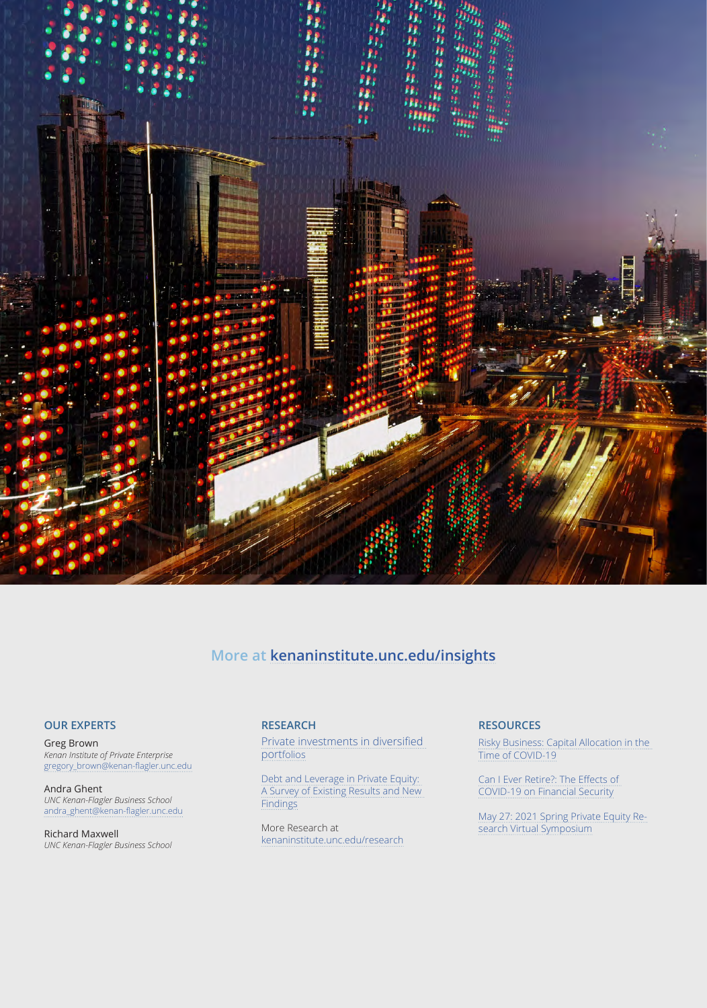

## **More at kenaninstitute.unc.edu/insights**

#### **OUR EXPERTS**

Greg Brown *Kenan Institute of Private Enterprise* [gregory\\_brown@kenan-flagler.unc.edu](mailto:gregory_brown@kenan-flagler.unc.edu)

Andra Ghent *UNC Kenan-Flagler Business School* [andra\\_ghent@kenan-flagler.unc.edu](mailto:andra_ghent@kenan-flagler.unc.edu)

Richard Maxwell *UNC Kenan-Flagler Business School*

#### **RESEARCH**

[Private investments in diversified](https://uncipc.org/index.php/publication/private-investments-in-diversified-portfolios/)  [portfolios](https://uncipc.org/index.php/publication/private-investments-in-diversified-portfolios/)

[Debt and Leverage in Private Equity:](https://uncipc.org/index.php/publication/debt-and-leverage-in-private-equity-a-survey-of-existing-results-and-new-findings/)  [A Survey of Existing Results and New](https://uncipc.org/index.php/publication/debt-and-leverage-in-private-equity-a-survey-of-existing-results-and-new-findings/)  **[Findings](https://uncipc.org/index.php/publication/debt-and-leverage-in-private-equity-a-survey-of-existing-results-and-new-findings/)** 

More Research at [kenaninstitute.unc.edu/research](https://kenaninstitute.unc.edu/research)

#### **RESOURCES**

[Risky Business: Capital Allocation in the](https://kenaninstitute.unc.edu/kenan-insight/risky-business-capital-allocation-in-the-time-of-covid-19/)  [Time of COVID-19](https://kenaninstitute.unc.edu/kenan-insight/risky-business-capital-allocation-in-the-time-of-covid-19/)

[Can I Ever Retire?: The Effects of](https://kenaninstitute.unc.edu/kenan-insight/can-i-ever-retire-the-effects-of-covid-19-on-financial-security-2/)  [COVID-19 on Financial Security](https://kenaninstitute.unc.edu/kenan-insight/can-i-ever-retire-the-effects-of-covid-19-on-financial-security-2/)

[May 27: 2021 Spring Private Equity Re](https://uncipc.org/index.php/event/2021-spring-private-equity-research-symposium/)[search Virtual Symposium](https://uncipc.org/index.php/event/2021-spring-private-equity-research-symposium/)